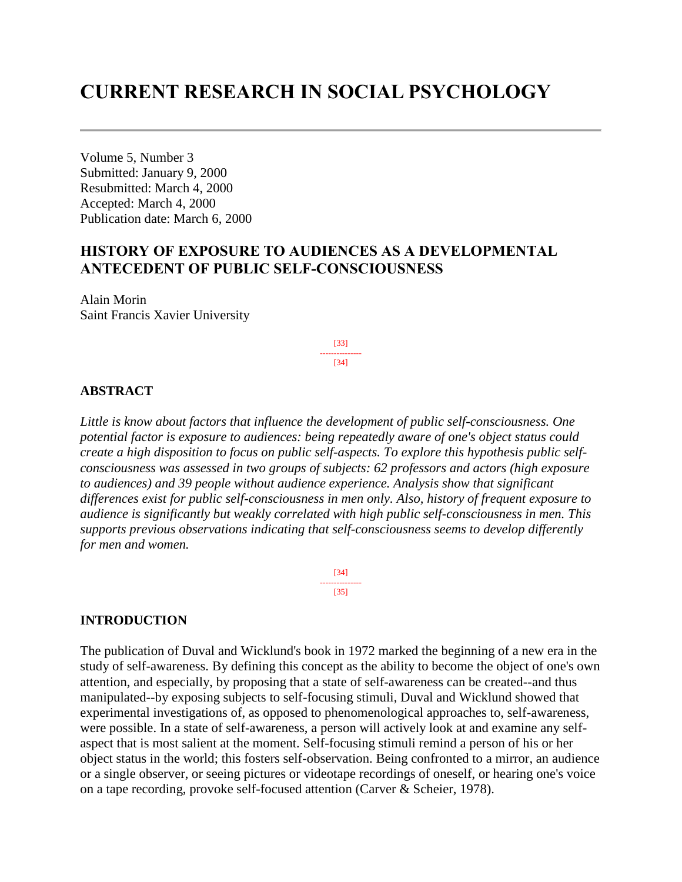# **CURRENT RESEARCH IN SOCIAL PSYCHOLOGY**

Volume 5, Number 3 Submitted: January 9, 2000 Resubmitted: March 4, 2000 Accepted: March 4, 2000 Publication date: March 6, 2000

# **HISTORY OF EXPOSURE TO AUDIENCES AS A DEVELOPMENTAL ANTECEDENT OF PUBLIC SELF-CONSCIOUSNESS**

Alain Morin Saint Francis Xavier University

> [33] --------------- [34]

#### **ABSTRACT**

*Little is know about factors that influence the development of public self-consciousness. One potential factor is exposure to audiences: being repeatedly aware of one's object status could create a high disposition to focus on public self-aspects. To explore this hypothesis public selfconsciousness was assessed in two groups of subjects: 62 professors and actors (high exposure to audiences) and 39 people without audience experience. Analysis show that significant differences exist for public self-consciousness in men only. Also, history of frequent exposure to audience is significantly but weakly correlated with high public self-consciousness in men. This supports previous observations indicating that self-consciousness seems to develop differently for men and women.*

> [34] --------------- [35]

### **INTRODUCTION**

The publication of Duval and Wicklund's book in 1972 marked the beginning of a new era in the study of self-awareness. By defining this concept as the ability to become the object of one's own attention, and especially, by proposing that a state of self-awareness can be created--and thus manipulated--by exposing subjects to self-focusing stimuli, Duval and Wicklund showed that experimental investigations of, as opposed to phenomenological approaches to, self-awareness, were possible. In a state of self-awareness, a person will actively look at and examine any selfaspect that is most salient at the moment. Self-focusing stimuli remind a person of his or her object status in the world; this fosters self-observation. Being confronted to a mirror, an audience or a single observer, or seeing pictures or videotape recordings of oneself, or hearing one's voice on a tape recording, provoke self-focused attention (Carver & Scheier, 1978).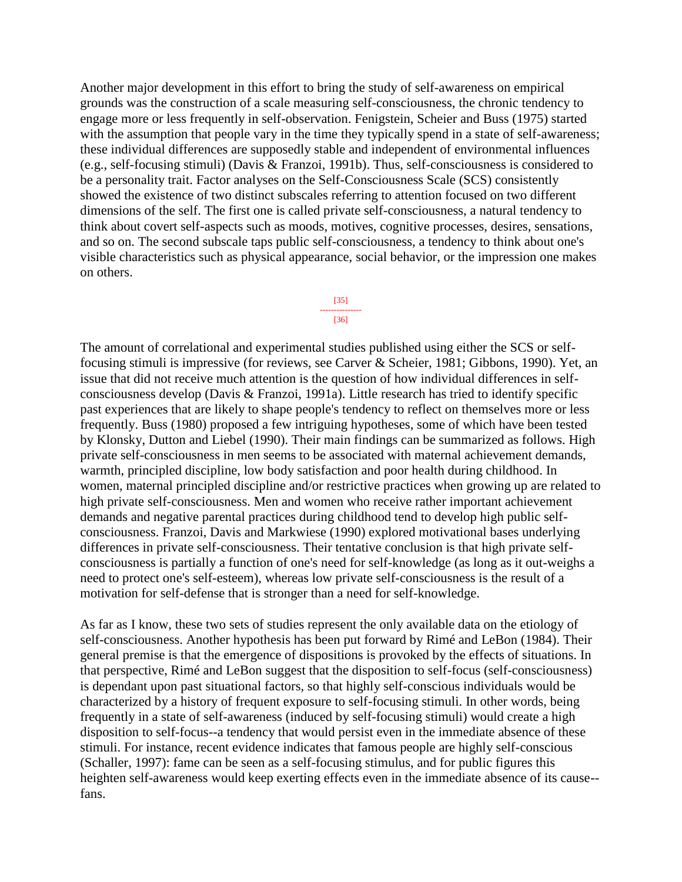Another major development in this effort to bring the study of self-awareness on empirical grounds was the construction of a scale measuring self-consciousness, the chronic tendency to engage more or less frequently in self-observation. Fenigstein, Scheier and Buss (1975) started with the assumption that people vary in the time they typically spend in a state of self-awareness; these individual differences are supposedly stable and independent of environmental influences (e.g., self-focusing stimuli) (Davis & Franzoi, 1991b). Thus, self-consciousness is considered to be a personality trait. Factor analyses on the Self-Consciousness Scale (SCS) consistently showed the existence of two distinct subscales referring to attention focused on two different dimensions of the self. The first one is called private self-consciousness, a natural tendency to think about covert self-aspects such as moods, motives, cognitive processes, desires, sensations, and so on. The second subscale taps public self-consciousness, a tendency to think about one's visible characteristics such as physical appearance, social behavior, or the impression one makes on others.

> [35] --------------- [36]

The amount of correlational and experimental studies published using either the SCS or selffocusing stimuli is impressive (for reviews, see Carver & Scheier, 1981; Gibbons, 1990). Yet, an issue that did not receive much attention is the question of how individual differences in selfconsciousness develop (Davis & Franzoi, 1991a). Little research has tried to identify specific past experiences that are likely to shape people's tendency to reflect on themselves more or less frequently. Buss (1980) proposed a few intriguing hypotheses, some of which have been tested by Klonsky, Dutton and Liebel (1990). Their main findings can be summarized as follows. High private self-consciousness in men seems to be associated with maternal achievement demands, warmth, principled discipline, low body satisfaction and poor health during childhood. In women, maternal principled discipline and/or restrictive practices when growing up are related to high private self-consciousness. Men and women who receive rather important achievement demands and negative parental practices during childhood tend to develop high public selfconsciousness. Franzoi, Davis and Markwiese (1990) explored motivational bases underlying differences in private self-consciousness. Their tentative conclusion is that high private selfconsciousness is partially a function of one's need for self-knowledge (as long as it out-weighs a need to protect one's self-esteem), whereas low private self-consciousness is the result of a motivation for self-defense that is stronger than a need for self-knowledge.

As far as I know, these two sets of studies represent the only available data on the etiology of self-consciousness. Another hypothesis has been put forward by Rimé and LeBon (1984). Their general premise is that the emergence of dispositions is provoked by the effects of situations. In that perspective, Rimé and LeBon suggest that the disposition to self-focus (self-consciousness) is dependant upon past situational factors, so that highly self-conscious individuals would be characterized by a history of frequent exposure to self-focusing stimuli. In other words, being frequently in a state of self-awareness (induced by self-focusing stimuli) would create a high disposition to self-focus--a tendency that would persist even in the immediate absence of these stimuli. For instance, recent evidence indicates that famous people are highly self-conscious (Schaller, 1997): fame can be seen as a self-focusing stimulus, and for public figures this heighten self-awareness would keep exerting effects even in the immediate absence of its cause- fans.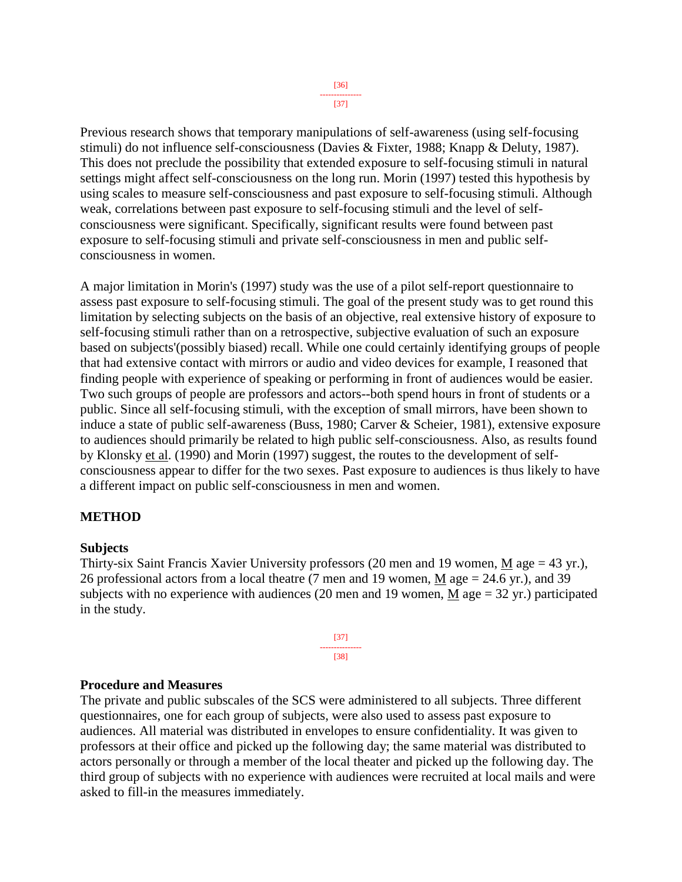Previous research shows that temporary manipulations of self-awareness (using self-focusing stimuli) do not influence self-consciousness (Davies & Fixter, 1988; Knapp & Deluty, 1987). This does not preclude the possibility that extended exposure to self-focusing stimuli in natural settings might affect self-consciousness on the long run. Morin (1997) tested this hypothesis by using scales to measure self-consciousness and past exposure to self-focusing stimuli. Although weak, correlations between past exposure to self-focusing stimuli and the level of selfconsciousness were significant. Specifically, significant results were found between past exposure to self-focusing stimuli and private self-consciousness in men and public selfconsciousness in women.

A major limitation in Morin's (1997) study was the use of a pilot self-report questionnaire to assess past exposure to self-focusing stimuli. The goal of the present study was to get round this limitation by selecting subjects on the basis of an objective, real extensive history of exposure to self-focusing stimuli rather than on a retrospective, subjective evaluation of such an exposure based on subjects'(possibly biased) recall. While one could certainly identifying groups of people that had extensive contact with mirrors or audio and video devices for example, I reasoned that finding people with experience of speaking or performing in front of audiences would be easier. Two such groups of people are professors and actors--both spend hours in front of students or a public. Since all self-focusing stimuli, with the exception of small mirrors, have been shown to induce a state of public self-awareness (Buss, 1980; Carver & Scheier, 1981), extensive exposure to audiences should primarily be related to high public self-consciousness. Also, as results found by Klonsky et al. (1990) and Morin (1997) suggest, the routes to the development of selfconsciousness appear to differ for the two sexes. Past exposure to audiences is thus likely to have a different impact on public self-consciousness in men and women.

## **METHOD**

#### **Subjects**

Thirty-six Saint Francis Xavier University professors (20 men and 19 women, M age = 43 yr.), 26 professional actors from a local theatre (7 men and 19 women, M age = 24.6 yr.), and 39 subjects with no experience with audiences (20 men and 19 women, M age  $= 32$  yr.) participated in the study.

> [37] --------------- [38]

#### **Procedure and Measures**

The private and public subscales of the SCS were administered to all subjects. Three different questionnaires, one for each group of subjects, were also used to assess past exposure to audiences. All material was distributed in envelopes to ensure confidentiality. It was given to professors at their office and picked up the following day; the same material was distributed to actors personally or through a member of the local theater and picked up the following day. The third group of subjects with no experience with audiences were recruited at local mails and were asked to fill-in the measures immediately.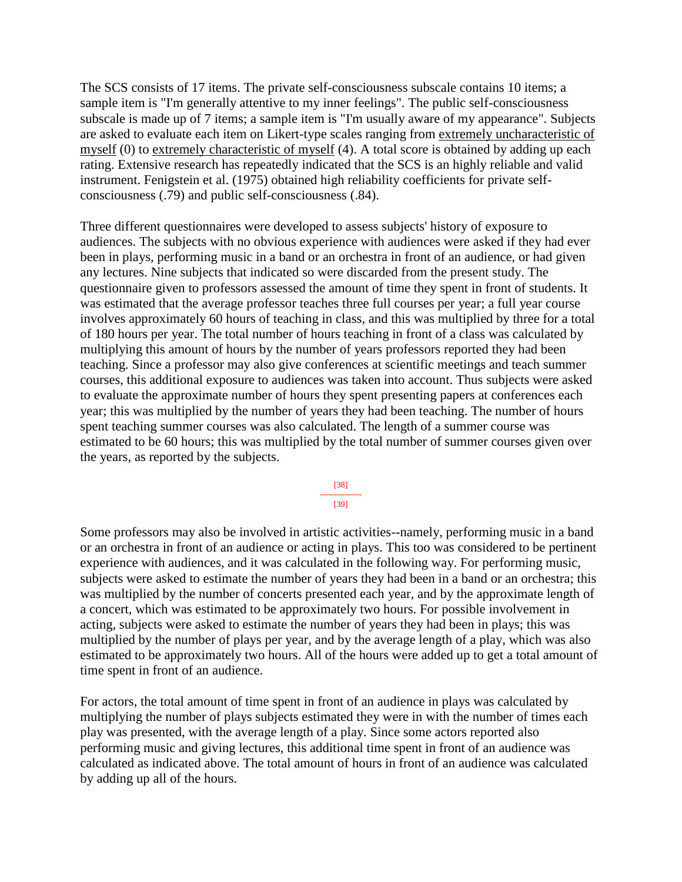The SCS consists of 17 items. The private self-consciousness subscale contains 10 items; a sample item is "I'm generally attentive to my inner feelings". The public self-consciousness subscale is made up of 7 items; a sample item is "I'm usually aware of my appearance". Subjects are asked to evaluate each item on Likert-type scales ranging from extremely uncharacteristic of myself (0) to extremely characteristic of myself (4). A total score is obtained by adding up each rating. Extensive research has repeatedly indicated that the SCS is an highly reliable and valid instrument. Fenigstein et al. (1975) obtained high reliability coefficients for private selfconsciousness (.79) and public self-consciousness (.84).

Three different questionnaires were developed to assess subjects' history of exposure to audiences. The subjects with no obvious experience with audiences were asked if they had ever been in plays, performing music in a band or an orchestra in front of an audience, or had given any lectures. Nine subjects that indicated so were discarded from the present study. The questionnaire given to professors assessed the amount of time they spent in front of students. It was estimated that the average professor teaches three full courses per year; a full year course involves approximately 60 hours of teaching in class, and this was multiplied by three for a total of 180 hours per year. The total number of hours teaching in front of a class was calculated by multiplying this amount of hours by the number of years professors reported they had been teaching. Since a professor may also give conferences at scientific meetings and teach summer courses, this additional exposure to audiences was taken into account. Thus subjects were asked to evaluate the approximate number of hours they spent presenting papers at conferences each year; this was multiplied by the number of years they had been teaching. The number of hours spent teaching summer courses was also calculated. The length of a summer course was estimated to be 60 hours; this was multiplied by the total number of summer courses given over the years, as reported by the subjects.

> [38] --------------- [39]

Some professors may also be involved in artistic activities--namely, performing music in a band or an orchestra in front of an audience or acting in plays. This too was considered to be pertinent experience with audiences, and it was calculated in the following way. For performing music, subjects were asked to estimate the number of years they had been in a band or an orchestra; this was multiplied by the number of concerts presented each year, and by the approximate length of a concert, which was estimated to be approximately two hours. For possible involvement in acting, subjects were asked to estimate the number of years they had been in plays; this was multiplied by the number of plays per year, and by the average length of a play, which was also estimated to be approximately two hours. All of the hours were added up to get a total amount of time spent in front of an audience.

For actors, the total amount of time spent in front of an audience in plays was calculated by multiplying the number of plays subjects estimated they were in with the number of times each play was presented, with the average length of a play. Since some actors reported also performing music and giving lectures, this additional time spent in front of an audience was calculated as indicated above. The total amount of hours in front of an audience was calculated by adding up all of the hours.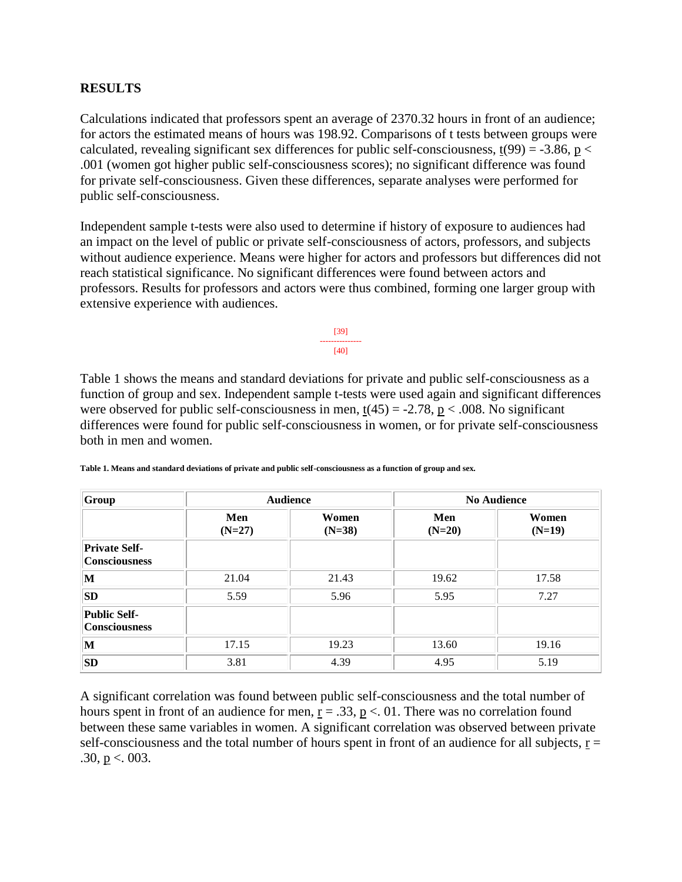## **RESULTS**

Calculations indicated that professors spent an average of 2370.32 hours in front of an audience; for actors the estimated means of hours was 198.92. Comparisons of t tests between groups were calculated, revealing significant sex differences for public self-consciousness,  $t(99) = -3.86$ ,  $p <$ .001 (women got higher public self-consciousness scores); no significant difference was found for private self-consciousness. Given these differences, separate analyses were performed for public self-consciousness.

Independent sample t-tests were also used to determine if history of exposure to audiences had an impact on the level of public or private self-consciousness of actors, professors, and subjects without audience experience. Means were higher for actors and professors but differences did not reach statistical significance. No significant differences were found between actors and professors. Results for professors and actors were thus combined, forming one larger group with extensive experience with audiences.

> [39] --------------- [40]

Table 1 shows the means and standard deviations for private and public self-consciousness as a function of group and sex. Independent sample t-tests were used again and significant differences were observed for public self-consciousness in men,  $t(45) = -2.78$ ,  $p < .008$ . No significant differences were found for public self-consciousness in women, or for private self-consciousness both in men and women.

| Group                                        | <b>Audience</b> |                   | <b>No Audience</b> |                   |
|----------------------------------------------|-----------------|-------------------|--------------------|-------------------|
|                                              | Men<br>$(N=27)$ | Women<br>$(N=38)$ | Men<br>$(N=20)$    | Women<br>$(N=19)$ |
| <b>Private Self-</b><br><b>Consciousness</b> |                 |                   |                    |                   |
| $\mathbf{M}$                                 | 21.04           | 21.43             | 19.62              | 17.58             |
| <b>SD</b>                                    | 5.59            | 5.96              | 5.95               | 7.27              |
| <b>Public Self-</b><br><b>Consciousness</b>  |                 |                   |                    |                   |
| $\mathbf{M}$                                 | 17.15           | 19.23             | 13.60              | 19.16             |
| <b>SD</b>                                    | 3.81            | 4.39              | 4.95               | 5.19              |

**Table 1. Means and standard deviations of private and public self-consciousness as a function of group and sex.**

A significant correlation was found between public self-consciousness and the total number of hours spent in front of an audience for men,  $r = .33$ ,  $p < .01$ . There was no correlation found between these same variables in women. A significant correlation was observed between private self-consciousness and the total number of hours spent in front of an audience for all subjects,  $r =$ .30,  $p < 003$ .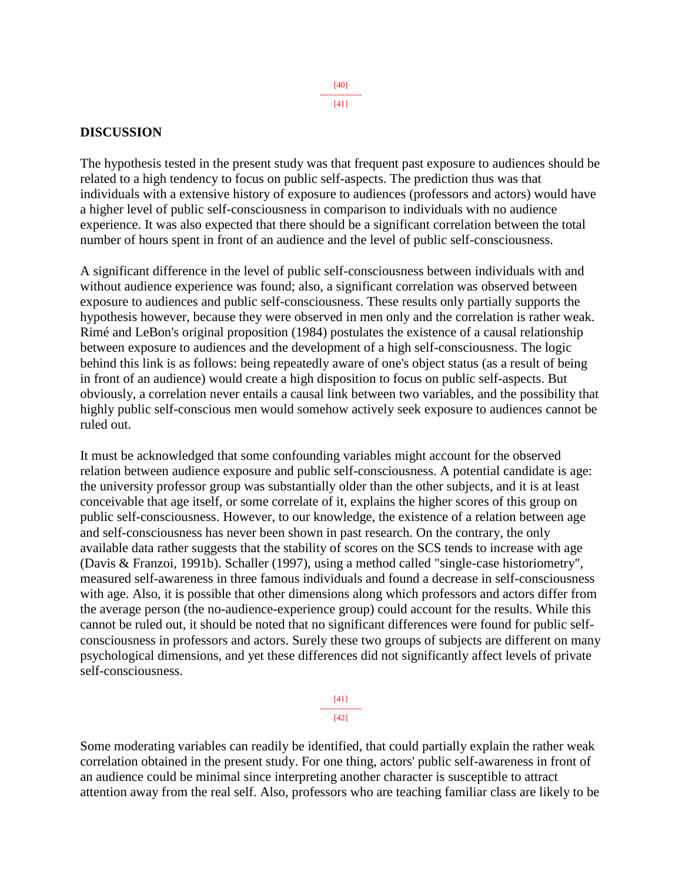#### **DISCUSSION**

The hypothesis tested in the present study was that frequent past exposure to audiences should be related to a high tendency to focus on public self-aspects. The prediction thus was that individuals with a extensive history of exposure to audiences (professors and actors) would have a higher level of public self-consciousness in comparison to individuals with no audience experience. It was also expected that there should be a significant correlation between the total number of hours spent in front of an audience and the level of public self-consciousness.

A significant difference in the level of public self-consciousness between individuals with and without audience experience was found; also, a significant correlation was observed between exposure to audiences and public self-consciousness. These results only partially supports the hypothesis however, because they were observed in men only and the correlation is rather weak. Rimé and LeBon's original proposition (1984) postulates the existence of a causal relationship between exposure to audiences and the development of a high self-consciousness. The logic behind this link is as follows: being repeatedly aware of one's object status (as a result of being in front of an audience) would create a high disposition to focus on public self-aspects. But obviously, a correlation never entails a causal link between two variables, and the possibility that highly public self-conscious men would somehow actively seek exposure to audiences cannot be ruled out.

It must be acknowledged that some confounding variables might account for the observed relation between audience exposure and public self-consciousness. A potential candidate is age: the university professor group was substantially older than the other subjects, and it is at least conceivable that age itself, or some correlate of it, explains the higher scores of this group on public self-consciousness. However, to our knowledge, the existence of a relation between age and self-consciousness has never been shown in past research. On the contrary, the only available data rather suggests that the stability of scores on the SCS tends to increase with age (Davis & Franzoi, 1991b). Schaller (1997), using a method called "single-case historiometry", measured self-awareness in three famous individuals and found a decrease in self-consciousness with age. Also, it is possible that other dimensions along which professors and actors differ from the average person (the no-audience-experience group) could account for the results. While this cannot be ruled out, it should be noted that no significant differences were found for public selfconsciousness in professors and actors. Surely these two groups of subjects are different on many psychological dimensions, and yet these differences did not significantly affect levels of private self-consciousness.

> [41] ---------------  $[42]$

Some moderating variables can readily be identified, that could partially explain the rather weak correlation obtained in the present study. For one thing, actors' public self-awareness in front of an audience could be minimal since interpreting another character is susceptible to attract attention away from the real self. Also, professors who are teaching familiar class are likely to be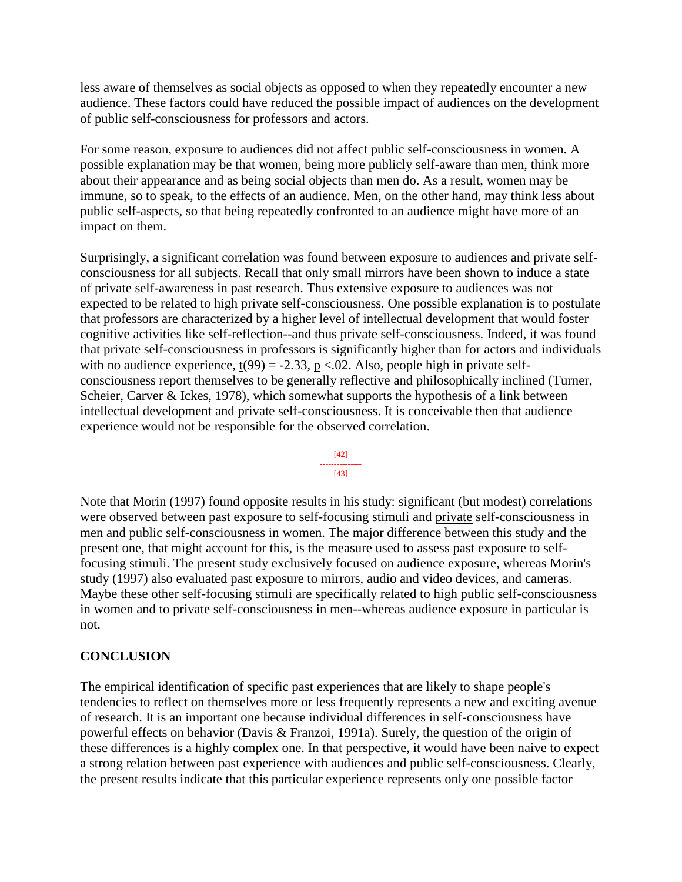less aware of themselves as social objects as opposed to when they repeatedly encounter a new audience. These factors could have reduced the possible impact of audiences on the development of public self-consciousness for professors and actors.

For some reason, exposure to audiences did not affect public self-consciousness in women. A possible explanation may be that women, being more publicly self-aware than men, think more about their appearance and as being social objects than men do. As a result, women may be immune, so to speak, to the effects of an audience. Men, on the other hand, may think less about public self-aspects, so that being repeatedly confronted to an audience might have more of an impact on them.

Surprisingly, a significant correlation was found between exposure to audiences and private selfconsciousness for all subjects. Recall that only small mirrors have been shown to induce a state of private self-awareness in past research. Thus extensive exposure to audiences was not expected to be related to high private self-consciousness. One possible explanation is to postulate that professors are characterized by a higher level of intellectual development that would foster cognitive activities like self-reflection--and thus private self-consciousness. Indeed, it was found that private self-consciousness in professors is significantly higher than for actors and individuals with no audience experience,  $t(99) = -2.33$ ,  $p < 0.02$ . Also, people high in private selfconsciousness report themselves to be generally reflective and philosophically inclined (Turner, Scheier, Carver & Ickes, 1978), which somewhat supports the hypothesis of a link between intellectual development and private self-consciousness. It is conceivable then that audience experience would not be responsible for the observed correlation.



Note that Morin (1997) found opposite results in his study: significant (but modest) correlations were observed between past exposure to self-focusing stimuli and private self-consciousness in men and public self-consciousness in women. The major difference between this study and the present one, that might account for this, is the measure used to assess past exposure to selffocusing stimuli. The present study exclusively focused on audience exposure, whereas Morin's study (1997) also evaluated past exposure to mirrors, audio and video devices, and cameras. Maybe these other self-focusing stimuli are specifically related to high public self-consciousness in women and to private self-consciousness in men--whereas audience exposure in particular is not.

## **CONCLUSION**

The empirical identification of specific past experiences that are likely to shape people's tendencies to reflect on themselves more or less frequently represents a new and exciting avenue of research. It is an important one because individual differences in self-consciousness have powerful effects on behavior (Davis & Franzoi, 1991a). Surely, the question of the origin of these differences is a highly complex one. In that perspective, it would have been naive to expect a strong relation between past experience with audiences and public self-consciousness. Clearly, the present results indicate that this particular experience represents only one possible factor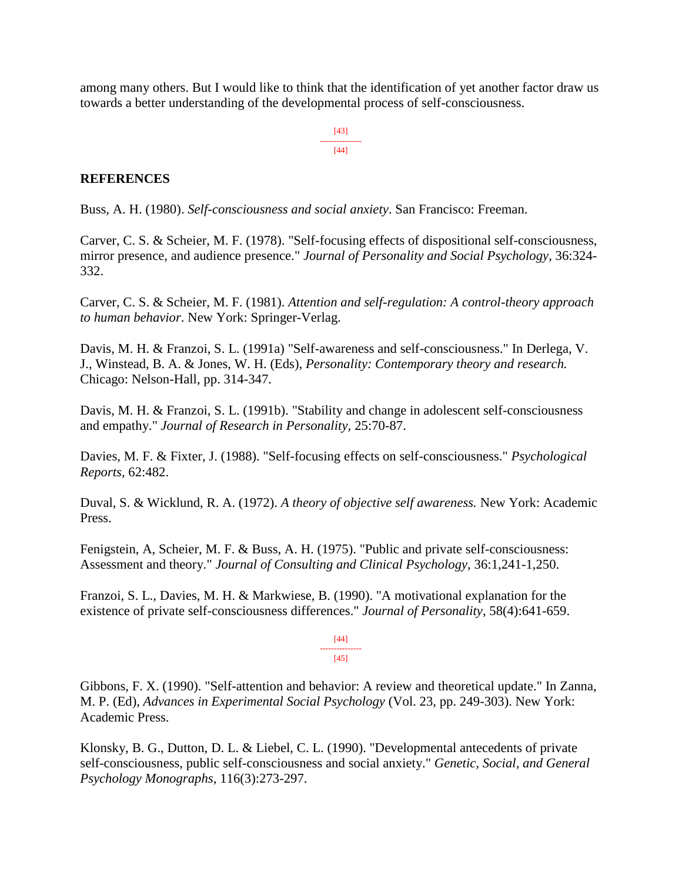among many others. But I would like to think that the identification of yet another factor draw us towards a better understanding of the developmental process of self-consciousness.

> [43] --------------- [44]

## **REFERENCES**

Buss, A. H. (1980). *Self-consciousness and social anxiety*. San Francisco: Freeman.

Carver, C. S. & Scheier, M. F. (1978). "Self-focusing effects of dispositional self-consciousness, mirror presence, and audience presence." *Journal of Personality and Social Psychology*, 36:324- 332.

Carver, C. S. & Scheier, M. F. (1981). *Attention and self-regulation: A control-theory approach to human behavior*. New York: Springer-Verlag.

Davis, M. H. & Franzoi, S. L. (1991a) "Self-awareness and self-consciousness." In Derlega, V. J., Winstead, B. A. & Jones, W. H. (Eds), *Personality: Contemporary theory and research.* Chicago: Nelson-Hall, pp. 314-347.

Davis, M. H. & Franzoi, S. L. (1991b). "Stability and change in adolescent self-consciousness and empathy." *Journal of Research in Personality,* 25:70-87.

Davies, M. F. & Fixter, J. (1988). "Self-focusing effects on self-consciousness." *Psychological Reports,* 62:482.

Duval, S. & Wicklund, R. A. (1972). *A theory of objective self awareness.* New York: Academic Press.

Fenigstein, A, Scheier, M. F. & Buss, A. H. (1975). "Public and private self-consciousness: Assessment and theory." *Journal of Consulting and Clinical Psychology,* 36:1,241-1,250.

Franzoi, S. L., Davies, M. H. & Markwiese, B. (1990). "A motivational explanation for the existence of private self-consciousness differences." *Journal of Personality*, 58(4):641-659.

> [44] --------------- [45]

Gibbons, F. X. (1990). "Self-attention and behavior: A review and theoretical update." In Zanna, M. P. (Ed), *Advances in Experimental Social Psychology* (Vol. 23, pp. 249-303). New York: Academic Press.

Klonsky, B. G., Dutton, D. L. & Liebel, C. L. (1990). "Developmental antecedents of private self-consciousness, public self-consciousness and social anxiety." *Genetic, Social, and General Psychology Monographs*, 116(3):273-297.